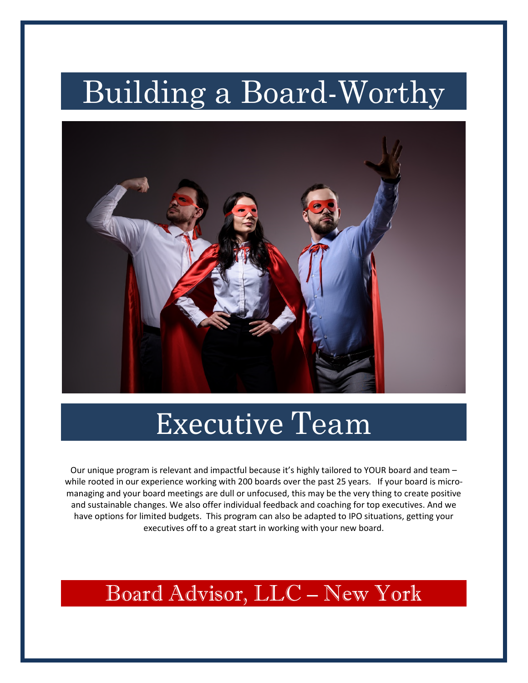# Building a Board-Worthy



# Executive Team

Our unique program is relevant and impactful because it's highly tailored to YOUR board and team – while rooted in our experience working with 200 boards over the past 25 years. If your board is micromanaging and your board meetings are dull or unfocused, this may be the very thing to create positive and sustainable changes. We also offer individual feedback and coaching for top executives. And we have options for limited budgets. This program can also be adapted to IPO situations, getting your executives off to a great start in working with your new board.

## Board Advisor, LLC – New York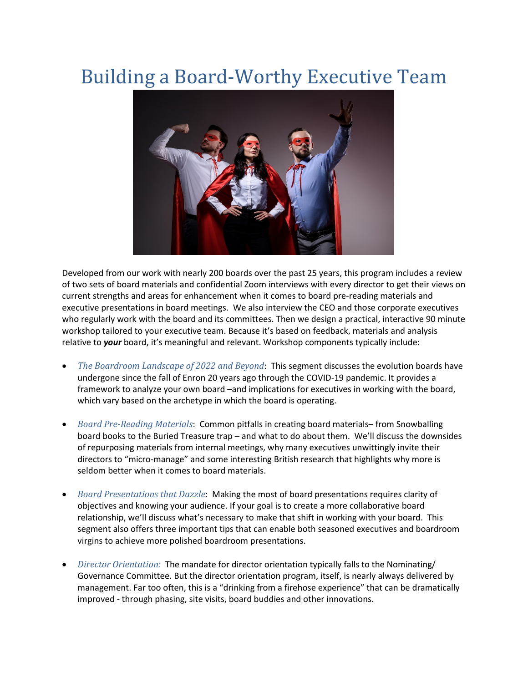## Building a Board-Worthy Executive Team



Developed from our work with nearly 200 boards over the past 25 years, this program includes a review of two sets of board materials and confidential Zoom interviews with every director to get their views on current strengths and areas for enhancement when it comes to board pre-reading materials and executive presentations in board meetings. We also interview the CEO and those corporate executives who regularly work with the board and its committees. Then we design a practical, interactive 90 minute workshop tailored to your executive team. Because it's based on feedback, materials and analysis relative to *your* board, it's meaningful and relevant. Workshop components typically include:

- *The Boardroom Landscape of 2022 and Beyond*: This segment discusses the evolution boards have undergone since the fall of Enron 20 years ago through the COVID-19 pandemic. It provides a framework to analyze your own board –and implications for executives in working with the board, which vary based on the archetype in which the board is operating.
- *Board Pre-Reading Materials*: Common pitfalls in creating board materials– from Snowballing board books to the Buried Treasure trap – and what to do about them. We'll discuss the downsides of repurposing materials from internal meetings, why many executives unwittingly invite their directors to "micro-manage" and some interesting British research that highlights why more is seldom better when it comes to board materials.
- *Board Presentations that Dazzle*: Making the most of board presentations requires clarity of objectives and knowing your audience. If your goal is to create a more collaborative board relationship, we'll discuss what's necessary to make that shift in working with your board. This segment also offers three important tips that can enable both seasoned executives and boardroom virgins to achieve more polished boardroom presentations.
- *Director Orientation:* The mandate for director orientation typically falls to the Nominating/ Governance Committee. But the director orientation program, itself, is nearly always delivered by management. Far too often, this is a "drinking from a firehose experience" that can be dramatically improved - through phasing, site visits, board buddies and other innovations.